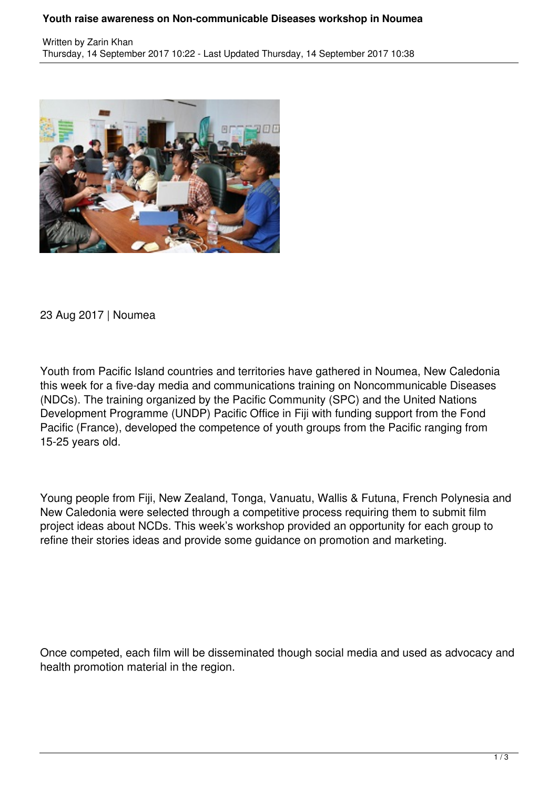## **Youth raise awareness on Non-communicable Diseases workshop in Noumea**



23 Aug 2017 | Noumea

Youth from Pacific Island countries and territories have gathered in Noumea, New Caledonia this week for a five-day media and communications training on Noncommunicable Diseases (NDCs). The training organized by the Pacific Community (SPC) and the United Nations Development Programme (UNDP) Pacific Office in Fiji with funding support from the Fond Pacific (France), developed the competence of youth groups from the Pacific ranging from 15-25 years old.

Young people from Fiji, New Zealand, Tonga, Vanuatu, Wallis & Futuna, French Polynesia and New Caledonia were selected through a competitive process requiring them to submit film project ideas about NCDs. This week's workshop provided an opportunity for each group to refine their stories ideas and provide some guidance on promotion and marketing.

Once competed, each film will be disseminated though social media and used as advocacy and health promotion material in the region.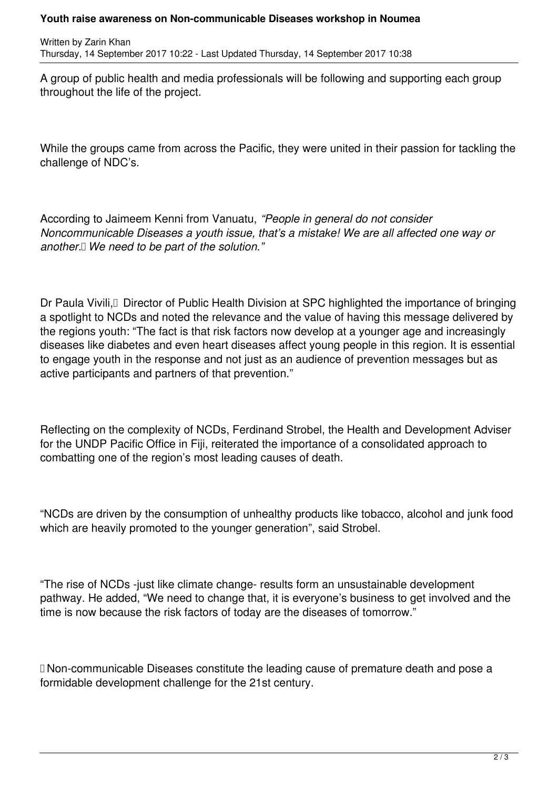Written by Zarin Khan Thursday, 14 September 2017 10:22 - Last Updated Thursday, 14 September 2017 10:38

A group of public health and media professionals will be following and supporting each group throughout the life of the project.

While the groups came from across the Pacific, they were united in their passion for tackling the challenge of NDC's.

According to Jaimeem Kenni from Vanuatu, *"People in general do not consider Noncommunicable Diseases a youth issue, that's a mistake! We are all affected one way or another. We need to be part of the solution."*

Dr Paula Vivili, DD Director of Public Health Division at SPC highlighted the importance of bringing a spotlight to NCDs and noted the relevance and the value of having this message delivered by the regions youth: "The fact is that risk factors now develop at a younger age and increasingly diseases like diabetes and even heart diseases affect young people in this region. It is essential to engage youth in the response and not just as an audience of prevention messages but as active participants and partners of that prevention."

Reflecting on the complexity of NCDs, Ferdinand Strobel, the Health and Development Adviser for the UNDP Pacific Office in Fiji, reiterated the importance of a consolidated approach to combatting one of the region's most leading causes of death.

"NCDs are driven by the consumption of unhealthy products like tobacco, alcohol and junk food which are heavily promoted to the younger generation", said Strobel.

"The rise of NCDs -just like climate change- results form an unsustainable development pathway. He added, "We need to change that, it is everyone's business to get involved and the time is now because the risk factors of today are the diseases of tomorrow."

Non-communicable Diseases constitute the leading cause of premature death and pose a formidable development challenge for the 21st century.